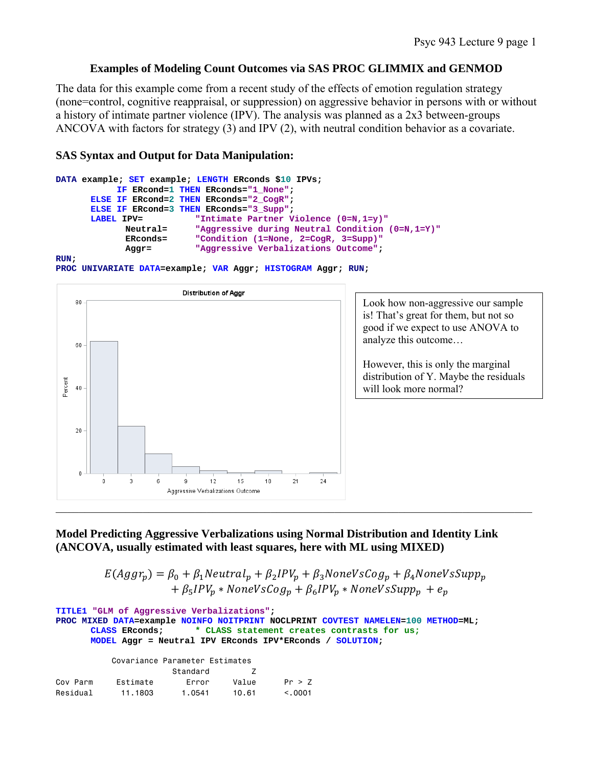## **Examples of Modeling Count Outcomes via SAS PROC GLIMMIX and GENMOD**

The data for this example come from a recent study of the effects of emotion regulation strategy (none=control, cognitive reappraisal, or suppression) on aggressive behavior in persons with or without a history of intimate partner violence (IPV). The analysis was planned as a 2x3 between-groups ANCOVA with factors for strategy (3) and IPV (2), with neutral condition behavior as a covariate.

## **SAS Syntax and Output for Data Manipulation:**

```
DATA example; SET example; LENGTH ERconds $10 IPVs; 
            IF ERcond=1 THEN ERconds="1_None"; 
      ELSE IF ERcond=2 THEN ERconds="2_CogR"; 
      ELSE IF ERcond=3 THEN ERconds="3_Supp"; 
      LABEL IPV= \blacksquare Thtimate Partner Violence (0=N,1=y)"
              Neutral= "Aggressive during Neutral Condition (0=N,1=Y)"
              ERconds= "Condition (1=None, 2=CogR, 3=Supp)"
             Aggr= "Aggressive Verbalizations Outcome"; 
RUN;
```
**PROC UNIVARIATE DATA=example; VAR Aggr; HISTOGRAM Aggr; RUN;** 



Look how non-aggressive our sample is! That's great for them, but not so good if we expect to use ANOVA to analyze this outcome…

However, this is only the marginal distribution of Y. Maybe the residuals will look more normal?

## **Model Predicting Aggressive Verbalizations using Normal Distribution and Identity Link (ANCOVA, usually estimated with least squares, here with ML using MIXED)**

 $E(Aggr_p) = \beta_0 + \beta_1 Neutral_p + \beta_2 IPV_p + \beta_3 NoneVsCog_p + \beta_4 NoneVsSupp_p$  $+ \beta_5 IPV_p * NoneVsCog_p + \beta_6 IPV_p * NoneVsSupp_p + e_p$ 

**TITLE1 "GLM of Aggressive Verbalizations"; PROC MIXED DATA=example NOINFO NOITPRINT NOCLPRINT COVTEST NAMELEN=100 METHOD=ML; CLASS ERconds; \* CLASS statement creates contrasts for us; MODEL Aggr = Neutral IPV ERconds IPV\*ERconds / SOLUTION;**  Covariance Parameter Estimates

|          |          | Standard |       |         |
|----------|----------|----------|-------|---------|
| Cov Parm | Fstimate | Frror    | Value | Pr > 7  |
| Residual | 11.1803  | 1.0541   | 10.61 | < 0.001 |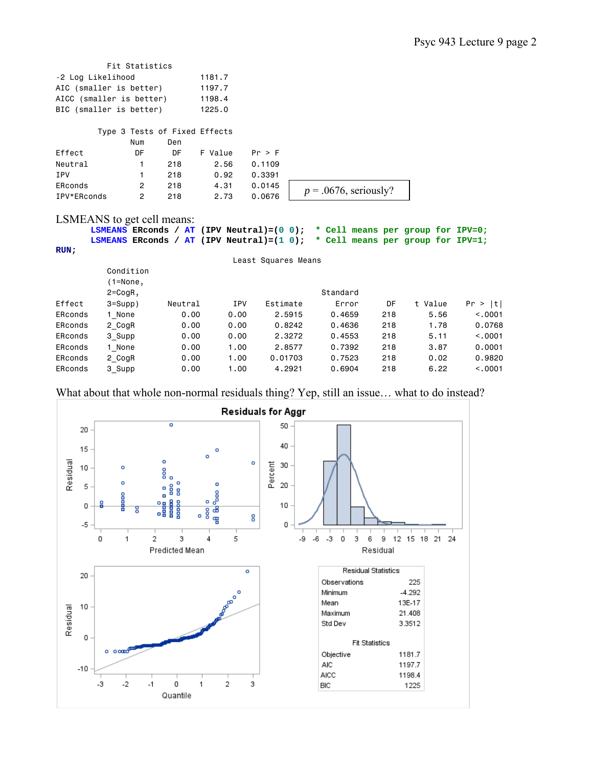| Fit Statistics           |        |
|--------------------------|--------|
| -2 Log Likelihood        | 1181.7 |
| AIC (smaller is better)  | 1197.7 |
| AICC (smaller is better) | 1198.4 |
| BIC (smaller is better)  | 1225.0 |

Type 3 Tests of Fixed Effects

|             | Num | Den |         |        |                          |
|-------------|-----|-----|---------|--------|--------------------------|
| Effect      | DF  | DF  | F Value | Pr > F |                          |
| Neutral     |     | 218 | 2.56    | 0.1109 |                          |
| IPV         |     | 218 | 0.92    | 0.3391 |                          |
| ERconds     | 2   | 218 | 4.31    | 0.0145 | $p = .0676$ , seriously? |
| IPV*ERconds | 2   | 218 | 2.73    | 0.0676 |                          |

LSMEANS to get cell means:

**LSMEANS ERconds / AT (IPV Neutral)=(0 0); \* Cell means per group for IPV=0; LSMEANS ERconds / AT (IPV Neutral)=(1 0); \* Cell means per group for IPV=1; RUN;** 

|         |              |         |            | Least Squares Means |          |     |         |            |
|---------|--------------|---------|------------|---------------------|----------|-----|---------|------------|
|         | Condition    |         |            |                     |          |     |         |            |
|         | $(1 = None,$ |         |            |                     |          |     |         |            |
|         | $2 = C$ ogR, |         |            |                     | Standard |     |         |            |
| Effect  | $3 = Supp$ ) | Neutral | <b>IPV</b> | Estimate            | Error    | DF  | t Value | Pr ><br> t |
| ERconds | 1 None       | 0.00    | 0.00       | 2.5915              | 0.4659   | 218 | 5.56    | < 0.0001   |
| ERconds | 2 CogR       | 0.00    | 0.00       | 0.8242              | 0.4636   | 218 | 1.78    | 0.0768     |
| ERconds | 3 Supp       | 0.00    | 0.00       | 2.3272              | 0.4553   | 218 | 5.11    | < 0.0001   |
| ERconds | 1 None       | 0.00    | 1.00       | 2.8577              | 0.7392   | 218 | 3.87    | 0.0001     |
| ERconds | 2 CogR       | 0.00    | 1.00       | 0.01703             | 0.7523   | 218 | 0.02    | 0.9820     |
| ERconds | 3 Supp       | 0.00    | 1.00       | 4,2921              | 0.6904   | 218 | 6.22    | < 0.0001   |

What about that whole non-normal residuals thing? Yep, still an issue… what to do instead?

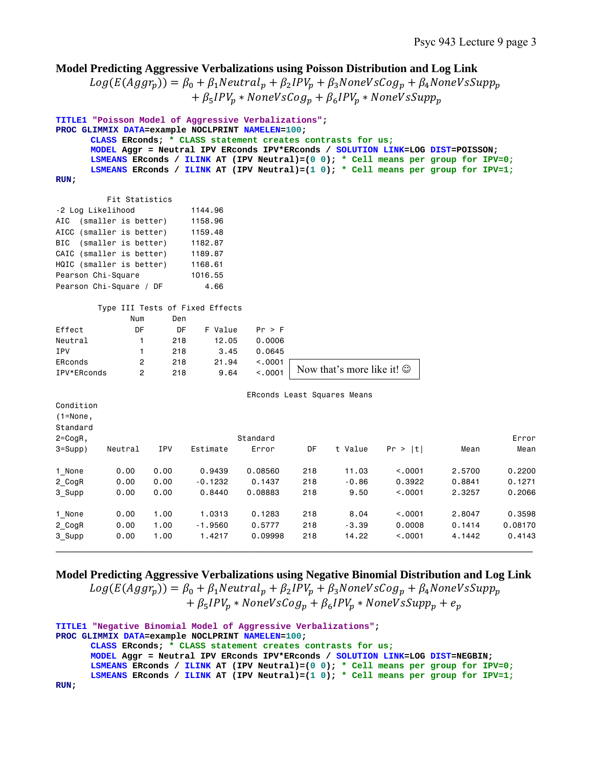## **Model Predicting Aggressive Verbalizations using Poisson Distribution and Log Link**   $Log(E(Aggr_p)) = \beta_0 + \beta_1 Neutral_p + \beta_2 IPV_p + \beta_3 NoneVsCog_p + \beta_4 NoneVsSupp_p$  $+ \beta_5 IPV_p * NoneVsCog_p + \beta_6 IPV_p * NoneVsSupp_p$ **TITLE1 "Poisson Model of Aggressive Verbalizations"; PROC GLIMMIX DATA=example NOCLPRINT NAMELEN=100; CLASS ERconds; \* CLASS statement creates contrasts for us; MODEL Aggr = Neutral IPV ERconds IPV\*ERconds / SOLUTION LINK=LOG DIST=POISSON; LSMEANS ERconds / ILINK AT (IPV Neutral)=(0 0); \* Cell means per group for IPV=0; LSMEANS ERconds / ILINK AT (IPV Neutral)=(1 0); \* Cell means per group for IPV=1; RUN;**  Fit Statistics -2 Log Likelihood 1144.96 AIC (smaller is better) 1158.96 AICC (smaller is better) 1159.48 BIC (smaller is better) 1182.87 CAIC (smaller is better) 1189.87 HQIC (smaller is better) 1168.61 Pearson Chi-Square 1016.55 Pearson Chi-Square / DF 4.66 Type III Tests of Fixed Effects Num Den Effect DF DF F Value Pr > F Neutral 1 218 12.05 0.0006 IPV 1 218 3.45 0.0645 ERconds 2 218 21.94 <.0001 IPV\*ERconds 2 218 9.64 <.0001 ERconds Least Squares Means Condition (1=None, Standard 2=CogR, Standard Error 3=Supp) Neutral IPV Estimate Error DF t Value Pr > |t| Mean Mean 1\_None 0.00 0.00 0.9439 0.08560 218 11.03 <.0001 2.5700 0.2200 2\_CogR 0.00 0.00 -0.1232 0.1437 218 -0.86 0.3922 0.8841 0.1271 3\_Supp 0.00 0.00 0.8440 0.08883 218 9.50 <.0001 2.3257 0.2066 1\_None 0.00 1.00 1.0313 0.1283 218 8.04 <.0001 2.8047 0.3598 2\_CogR 0.00 1.00 -1.9560 0.5777 218 -3.39 0.0008 0.1414 0.08170 3\_Supp 0.00 1.00 1.4217 0.09998 218 14.22 <.0001 4.1442 0.4143 \_\_\_\_\_\_\_\_\_\_\_\_\_\_\_\_\_\_\_\_\_\_\_\_\_\_\_\_\_\_\_\_\_\_\_\_\_\_\_\_\_\_\_\_\_\_\_\_\_\_\_\_\_\_\_\_\_\_\_\_\_\_\_\_\_\_\_\_\_\_\_\_\_\_\_\_\_\_\_\_\_\_\_\_\_\_\_\_\_\_\_ Now that's more like it!  $\odot$

# **Model Predicting Aggressive Verbalizations using Negative Binomial Distribution and Log Link**

 $Log(E(Aggr_n)) = \beta_0 + \beta_1 Neutral_n + \beta_2 IPV_n + \beta_3 NoneVsCog_n + \beta_4 NoneVsSupp_n$  $+ \beta_5 IPV_p * NoneVsCog_p + \beta_6 IPV_p * NoneVsSupp_p + e_p$ 

```
TITLE1 "Negative Binomial Model of Aggressive Verbalizations"; 
PROC GLIMMIX DATA=example NOCLPRINT NAMELEN=100; 
      CLASS ERconds; * CLASS statement creates contrasts for us;
      MODEL Aggr = Neutral IPV ERconds IPV*ERconds / SOLUTION LINK=LOG DIST=NEGBIN; 
      LSMEANS ERconds / ILINK AT (IPV Neutral)=(0 0); * Cell means per group for IPV=0;
      LSMEANS ERconds / ILINK AT (IPV Neutral)=(1 0); * Cell means per group for IPV=1;
RUN;
```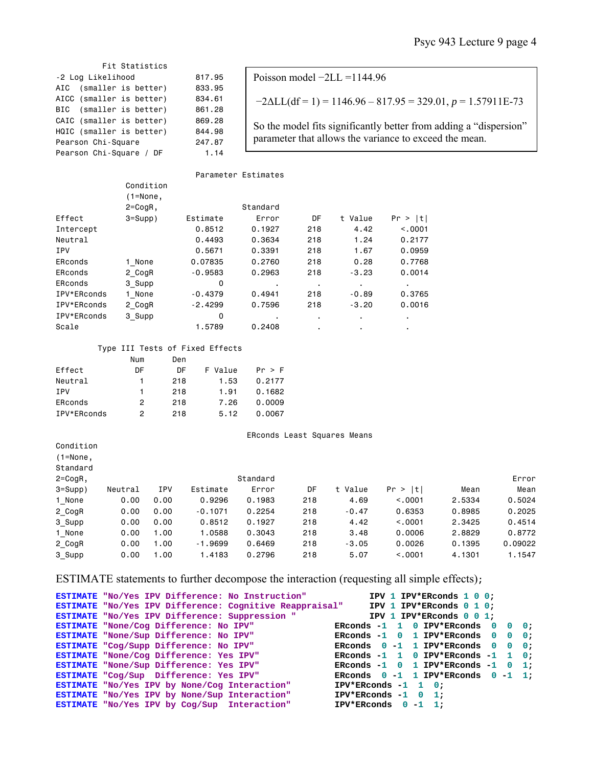### Psyc 943 Lecture 9 page 4

 Fit Statistics -2 Log Likelihood 817.95 AIC (smaller is better) 833.95 AICC (smaller is better) 834.61 BIC (smaller is better) 861.28 CAIC (smaller is better) 869.28 HQIC (smaller is better) 844.98 Pearson Chi-Square 247.87 Pearson Chi-Square / DF 1.14

Condition

Poisson model −2LL =1144.96  $-2\Delta L L (df = 1) = 1146.96 - 817.95 = 329.01, p = 1.57911E-73$ So the model fits significantly better from adding a "dispersion" parameter that allows the variance to exceed the mean.

Parameter Estimates

|             | $(1 = None,$ |           |          |     |         |             |
|-------------|--------------|-----------|----------|-----|---------|-------------|
|             | $2 = CogR$ , |           | Standard |     |         |             |
| Effect      | $3 = Supp$ ) | Estimate  | Error    | DF  | t Value | >  t <br>Pr |
| Intercept   |              | 0.8512    | 0.1927   | 218 | 4.42    | < 0.0001    |
| Neutral     |              | 0.4493    | 0.3634   | 218 | 1.24    | 0.2177      |
| <b>IPV</b>  |              | 0.5671    | 0.3391   | 218 | 1.67    | 0.0959      |
| ERconds     | 1 None       | 0.07835   | 0.2760   | 218 | 0.28    | 0.7768      |
| ERconds     | 2 CogR       | $-0.9583$ | 0.2963   | 218 | $-3.23$ | 0.0014      |
| ERconds     | 3 Supp       | 0         | ٠        |     | ٠       |             |
| IPV*ERconds | 1 None       | $-0.4379$ | 0.4941   | 218 | $-0.89$ | 0.3765      |
| IPV*ERconds | 2 CogR       | $-2.4299$ | 0.7596   | 218 | $-3.20$ | 0.0016      |
| IPV*ERconds | 3 Supp       | 0         |          |     | ٠       |             |
| Scale       |              | 1.5789    | 0.2408   | ٠.  | ٠       |             |

#### Type III Tests of Fixed Effects

| Num | Den |         |        |
|-----|-----|---------|--------|
| DF  | DΕ  | F Value | Pr > F |
| 1   | 218 | 1.53    | 0.2177 |
| 1.  | 218 | 1.91    | 0.1682 |
| 2   | 218 | 7.26    | 0.0009 |
| 2   | 218 | 5.12    | 0.0067 |
|     |     |         |        |

Condition

ERconds Least Squares Means

| $(1 = None,$ |         |      |           |          |     |         |           |        |         |
|--------------|---------|------|-----------|----------|-----|---------|-----------|--------|---------|
| Standard     |         |      |           |          |     |         |           |        |         |
| $2 = CogR$ , |         |      |           | Standard |     |         |           |        | Error   |
| $3 = Supp$ ) | Neutral | IPV  | Estimate  | Error    | DF  | t Value | t<br>Pr > | Mean   | Mean    |
| 1 None       | 0.00    | 0.00 | 0.9296    | 0.1983   | 218 | 4.69    | < 0.0001  | 2.5334 | 0.5024  |
| 2 CogR       | 0.00    | 0.00 | $-0.1071$ | 0.2254   | 218 | $-0.47$ | 0.6353    | 0.8985 | 0.2025  |
| 3 Supp       | 0.00    | 0.00 | 0.8512    | 0.1927   | 218 | 4.42    | < 0.0001  | 2.3425 | 0.4514  |
| 1 None       | 0.00    | 1.00 | 1.0588    | 0.3043   | 218 | 3.48    | 0,0006    | 2,8829 | 0.8772  |
| 2 CogR       | 0.00    | 1.00 | $-1.9699$ | 0.6469   | 218 | $-3.05$ | 0.0026    | 0.1395 | 0.09022 |
| 3 Supp       | 0.00    | 1.00 | 1,4183    | 0.2796   | 218 | 5.07    | < 0.0001  | 4,1301 | 1.1547  |

### ESTIMATE statements to further decompose the interaction (requesting all simple effects)**;**

| ESTIMATE "No/Yes IPV Difference: No Instruction"        | IPV 1 IPV*ERconds 1 0 0;                 |
|---------------------------------------------------------|------------------------------------------|
| ESTIMATE "No/Yes IPV Difference: Cognitive Reappraisal" | IPV 1 IPV*ERconds 0 1 0:                 |
| ESTIMATE "No/Yes IPV Difference: Suppression "          | IPV 1 IPV*ERconds $0 \t0 \t1$ :          |
| ESTIMATE "None/Cog Difference: No IPV"                  | ERConds $-1$ 1 0 IPV*ERconds 0 0 0:      |
| ESTIMATE "None/Sup Difference: No IPV"                  | ERconds $-1$ 0 1 IPV*ERconds 0 0 0;      |
| ESTIMATE "Cog/Supp Difference: No IPV"                  | ERCONDS $0 - 1$ 1 IPV*ERCONDS 0 0 0;     |
| ESTIMATE "None/Cog Difference: Yes IPV"                 | ERconds $-1$ 1 0 IPV*ERconds $-1$ 1 0;   |
| ESTIMATE "None/Sup Difference: Yes IPV"                 | ERCONds $-1$ 0 1 IPV*ERCONds $-1$ 0 1;   |
| ESTIMATE "Cog/Sup Difference: Yes IPV"                  | ERCONDS $0 - 1$ 1 IPV*ERCONDS $0 - 1$ 1; |
| ESTIMATE "No/Yes IPV by None/Coq Interaction"           | $IPV*ERconds -1 1 0$ :                   |
| ESTIMATE "No/Yes IPV by None/Sup Interaction"           | $IPV*ERconds -1 0 1$ :                   |
| ESTIMATE "No/Yes IPV by Coq/Sup Interaction"            | IPV*ERconds $0 -1$ 1;                    |